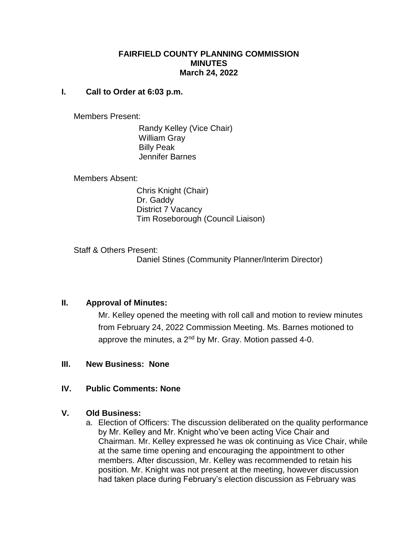# **FAIRFIELD COUNTY PLANNING COMMISSION MINUTES March 24, 2022**

#### **I. Call to Order at 6:03 p.m.**

Members Present:

 Randy Kelley (Vice Chair) William Gray Billy Peak Jennifer Barnes

Members Absent:

 Chris Knight (Chair) Dr. Gaddy District 7 Vacancy Tim Roseborough (Council Liaison)

Staff & Others Present: Daniel Stines (Community Planner/Interim Director)

# **II. Approval of Minutes:**

Mr. Kelley opened the meeting with roll call and motion to review minutes from February 24, 2022 Commission Meeting. Ms. Barnes motioned to approve the minutes, a  $2<sup>nd</sup>$  by Mr. Gray. Motion passed 4-0.

# **III. New Business: None**

# **IV. Public Comments: None**

# **V. Old Business:**

a. Election of Officers: The discussion deliberated on the quality performance by Mr. Kelley and Mr. Knight who've been acting Vice Chair and Chairman. Mr. Kelley expressed he was ok continuing as Vice Chair, while at the same time opening and encouraging the appointment to other members. After discussion, Mr. Kelley was recommended to retain his position. Mr. Knight was not present at the meeting, however discussion had taken place during February's election discussion as February was